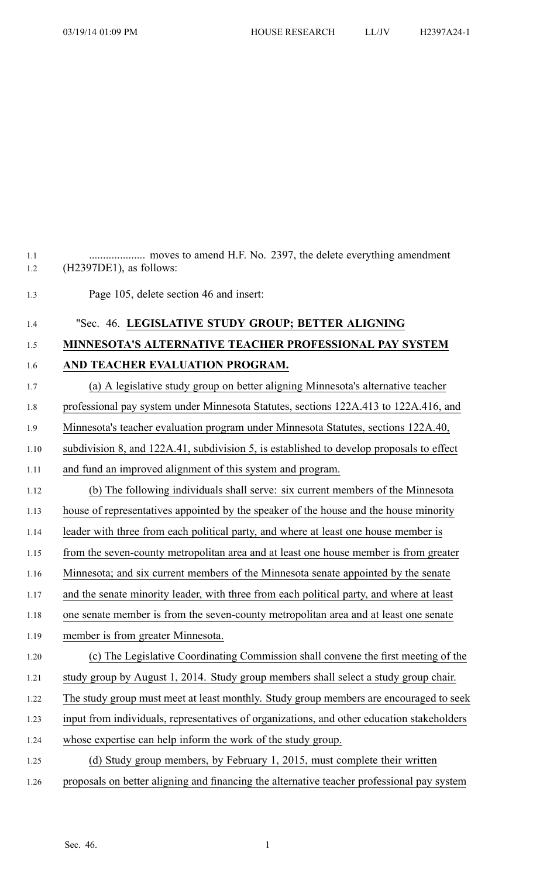1.2 (H2397DE1), as follows:

1.3 Page 105, delete section 46 and insert:

1.4 "Sec. 46. **LEGISLATIVE STUDY GROUP; BETTER ALIGNING** 1.5 **MINNESOTA'S ALTERNATIVE TEACHER PROFESSIONAL PAY SYSTEM** 1.6 **AND TEACHER EVALUATION PROGRAM.** 1.7 (a) A legislative study group on better aligning Minnesota's alternative teacher 1.8 professional pay system under Minnesota Statutes, sections 122A.413 to 122A.416, and 1.9 Minnesota's teacher evaluation program under Minnesota Statutes, sections 122A.40, 1.10 subdivision 8, and 122A.41, subdivision 5, is established to develop proposals to effect 1.11 and fund an improved alignment of this system and program. 1.12 (b) The following individuals shall serve: six current members of the Minnesota 1.13 house of representatives appointed by the speaker of the house and the house minority 1.14 leader with three from each political party, and where at least one house member is 1.15 from the seven-county metropolitan area and at least one house member is from greater 1.16 Minnesota; and six current members of the Minnesota senate appointed by the senate 1.17 and the senate minority leader, with three from each political party, and where at least 1.18 one senate member is from the seven-county metropolitan area and at least one senate 1.19 member is from greater Minnesota. 1.20 (c) The Legislative Coordinating Commission shall convene the first meeting of the 1.21 study group by August 1, 2014. Study group members shall select <sup>a</sup> study group chair. 1.22 The study group must meet at least monthly. Study group members are encouraged to seek 1.23 input from individuals, representatives of organizations, and other education stakeholders 1.24 whose expertise can help inform the work of the study group. 1.25 (d) Study group members, by February 1, 2015, must complete their written 1.26 proposals on better aligning and financing the alternative teacher professional pay system

1.1 .................... moves to amend H.F. No. 2397, the delete everything amendment